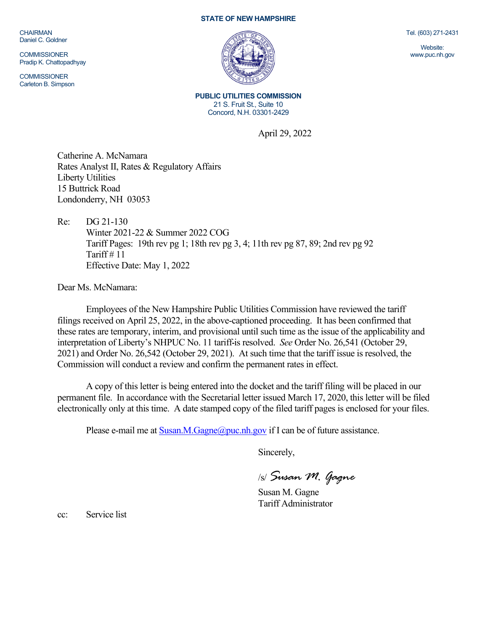CHAIRMAN Daniel C. Goldner

**COMMISSIONER** Pradip K. Chattopadhyay

**COMMISSIONER** Carleton B. Simpson

## **STATE OF NEW HAMPSHIRE**



**PUBLIC UTILITIES COMMISSION** 21 S. Fruit St., Suite 10 Concord, N.H. 03301-2429

April 29, 2022

Catherine A. McNamara Rates Analyst II, Rates & Regulatory Affairs Liberty Utilities 15 Buttrick Road Londonderry, NH 03053

Re: DG 21-130 Winter 2021-22 & Summer 2022 COG Tariff Pages: 19th rev pg 1; 18th rev pg 3, 4; 11th rev pg 87, 89; 2nd rev pg 92 Tariff  $# 11$ Effective Date: May 1, 2022

Dear Ms. McNamara:

Employees of the New Hampshire Public Utilities Commission have reviewed the tariff filings received on April 25, 2022, in the above-captioned proceeding. It has been confirmed that these rates are temporary, interim, and provisional until such time as the issue of the applicability and interpretation of Liberty's NHPUC No. 11 tariff is resolved. *See* Order No. 26,541 (October 29, 2021) and Order No. 26,542 (October 29, 2021). At such time that the tariff issue is resolved, the Commission will conduct a review and confirm the permanent rates in effect.

A copy of this letter is being entered into the docket and the tariff filing will be placed in our permanent file. In accordance with the Secretarial letter issued March 17, 2020, this letter will be filed electronically only at this time. A date stamped copy of the filed tariff pages is enclosed for your files.

Please e-mail me at  $S$ usan.M.Gagne@puc.nh.gov if I can be of future assistance.

Sincerely,

/s/ *Susan M. Gagne*

Susan M. Gagne Tariff Administrator

cc: Service list

Tel. (603) 271-2431

Website: www.puc.nh.gov